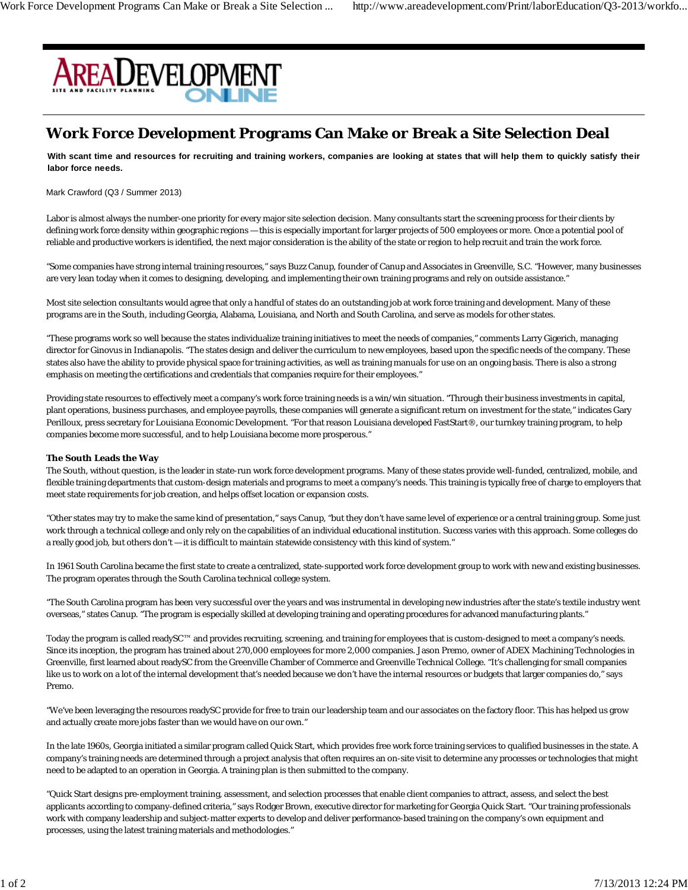

## **Work Force Development Programs Can Make or Break a Site Selection Deal**

**With scant time and resources for recruiting and training workers, companies are looking at states that will help them to quickly satisfy their labor force needs.**

Mark Crawford (Q3 / Summer 2013)

Labor is almost always the number-one priority for every major site selection decision. Many consultants start the screening process for their clients by defining work force density within geographic regions — this is especially important for larger projects of 500 employees or more. Once a potential pool of reliable and productive workers is identified, the next major consideration is the ability of the state or region to help recruit and train the work force.

"Some companies have strong internal training resources," says Buzz Canup, founder of Canup and Associates in Greenville, S.C. "However, many businesses are very lean today when it comes to designing, developing, and implementing their own training programs and rely on outside assistance."

Most site selection consultants would agree that only a handful of states do an outstanding job at work force training and development. Many of these programs are in the South, including Georgia, Alabama, Louisiana, and North and South Carolina, and serve as models for other states.

"These programs work so well because the states individualize training initiatives to meet the needs of companies," comments Larry Gigerich, managing director for Ginovus in Indianapolis. "The states design and deliver the curriculum to new employees, based upon the specific needs of the company. These states also have the ability to provide physical space for training activities, as well as training manuals for use on an ongoing basis. There is also a strong emphasis on meeting the certifications and credentials that companies require for their employees."

Providing state resources to effectively meet a company's work force training needs is a win/win situation. "Through their business investments in capital, plant operations, business purchases, and employee payrolls, these companies will generate a significant return on investment for the state," indicates Gary Perilloux, press secretary for Louisiana Economic Development. "For that reason Louisiana developed FastStart®, our turnkey training program, to help companies become more successful, and to help Louisiana become more prosperous."

## **The South Leads the Way**

The South, without question, is the leader in state-run work force development programs. Many of these states provide well-funded, centralized, mobile, and flexible training departments that custom-design materials and programs to meet a company's needs. This training is typically free of charge to employers that meet state requirements for job creation, and helps offset location or expansion costs.

"Other states may try to make the same kind of presentation," says Canup, "but they don't have same level of experience or a central training group. Some just work through a technical college and only rely on the capabilities of an individual educational institution. Success varies with this approach. Some colleges do a really good job, but others don't — it is difficult to maintain statewide consistency with this kind of system."

In 1961 South Carolina became the first state to create a centralized, state-supported work force development group to work with new and existing businesses. The program operates through the South Carolina technical college system.

"The South Carolina program has been very successful over the years and was instrumental in developing new industries after the state's textile industry went overseas," states Canup. "The program is especially skilled at developing training and operating procedures for advanced manufacturing plants."

Today the program is called readySC™ and provides recruiting, screening, and training for employees that is custom-designed to meet a company's needs. Since its inception, the program has trained about 270,000 employees for more 2,000 companies. Jason Premo, owner of ADEX Machining Technologies in Greenville, first learned about readySC from the Greenville Chamber of Commerce and Greenville Technical College. "It's challenging for small companies like us to work on a lot of the internal development that's needed because we don't have the internal resources or budgets that larger companies do," says Premo.

"We've been leveraging the resources readySC provide for free to train our leadership team and our associates on the factory floor. This has helped us grow and actually create more jobs faster than we would have on our own."

In the late 1960s, Georgia initiated a similar program called Quick Start, which provides free work force training services to qualified businesses in the state. A company's training needs are determined through a project analysis that often requires an on-site visit to determine any processes or technologies that might need to be adapted to an operation in Georgia. A training plan is then submitted to the company.

"Quick Start designs pre-employment training, assessment, and selection processes that enable client companies to attract, assess, and select the best applicants according to company-defined criteria," says Rodger Brown, executive director for marketing for Georgia Quick Start. "Our training professionals work with company leadership and subject-matter experts to develop and deliver performance-based training on the company's own equipment and processes, using the latest training materials and methodologies."